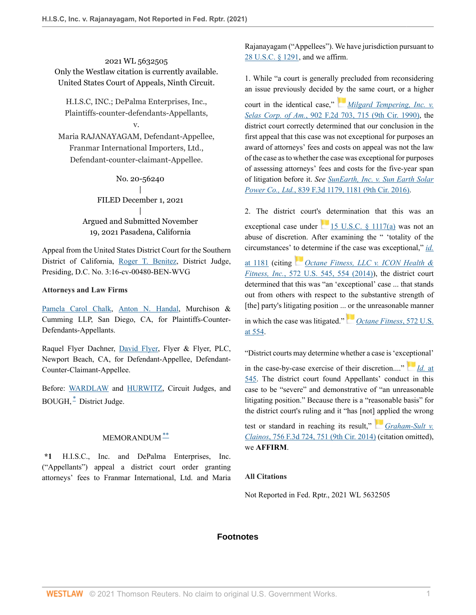2021 WL 5632505 Only the Westlaw citation is currently available. United States Court of Appeals, Ninth Circuit.

H.I.S.C, INC.; DePalma Enterprises, Inc., Plaintiffs-counter-defendants-Appellants,

v.

Maria RAJANAYAGAM, Defendant-Appellee, Franmar International Importers, Ltd., Defendant-counter-claimant-Appellee.

> No. 20-56240 |

FILED December 1, 2021 |

# Argued and Submitted November 19, 2021 Pasadena, California

Appeal from the United States District Court for the Southern District of California, [Roger T. Benitez](http://www.westlaw.com/Link/Document/FullText?findType=h&pubNum=176284&cite=0102591601&originatingDoc=Ia93164a0534811ec8e6bb098c3495892&refType=RQ&originationContext=document&vr=3.0&rs=cblt1.0&transitionType=DocumentItem&contextData=(sc.Default)), District Judge, Presiding, D.C. No. 3:16-cv-00480-BEN-WVG

### **Attorneys and Law Firms**

[Pamela Carol Chalk](http://www.westlaw.com/Link/Document/FullText?findType=h&pubNum=176284&cite=0353823701&originatingDoc=Ia93164a0534811ec8e6bb098c3495892&refType=RQ&originationContext=document&vr=3.0&rs=cblt1.0&transitionType=DocumentItem&contextData=(sc.Default)), [Anton N. Handal,](http://www.westlaw.com/Link/Document/FullText?findType=h&pubNum=176284&cite=0299729001&originatingDoc=Ia93164a0534811ec8e6bb098c3495892&refType=RQ&originationContext=document&vr=3.0&rs=cblt1.0&transitionType=DocumentItem&contextData=(sc.Default)) Murchison & Cumming LLP, San Diego, CA, for Plaintiffs-Counter-Defendants-Appellants.

Raquel Flyer Dachner, [David Flyer](http://www.westlaw.com/Link/Document/FullText?findType=h&pubNum=176284&cite=0121323701&originatingDoc=Ia93164a0534811ec8e6bb098c3495892&refType=RQ&originationContext=document&vr=3.0&rs=cblt1.0&transitionType=DocumentItem&contextData=(sc.Default)), Flyer & Flyer, PLC, Newport Beach, CA, for Defendant-Appellee, Defendant-Counter-Claimant-Appellee.

<span id="page-0-0"></span>Before: [WARDLAW](http://www.westlaw.com/Link/Document/FullText?findType=h&pubNum=176284&cite=0231873901&originatingDoc=Ia93164a0534811ec8e6bb098c3495892&refType=RQ&originationContext=document&vr=3.0&rs=cblt1.0&transitionType=DocumentItem&contextData=(sc.Default)) and [HURWITZ,](http://www.westlaw.com/Link/Document/FullText?findType=h&pubNum=176284&cite=0169087601&originatingDoc=Ia93164a0534811ec8e6bb098c3495892&refType=RQ&originationContext=document&vr=3.0&rs=cblt1.0&transitionType=DocumentItem&contextData=(sc.Default)) Circuit Judges, and BOUGH, [\\*](#page-1-0) District Judge.

## <span id="page-0-1"></span>MEMORANDUM<sup>[\\*\\*](#page-1-1)</sup>

**\*1** H.I.S.C., Inc. and DePalma Enterprises, Inc. ("Appellants") appeal a district court order granting attorneys' fees to Franmar International, Ltd. and Maria

Rajanayagam ("Appellees"). We have jurisdiction pursuant to [28 U.S.C. § 1291](http://www.westlaw.com/Link/Document/FullText?findType=L&pubNum=1000546&cite=28USCAS1291&originatingDoc=Ia93164a0534811ec8e6bb098c3495892&refType=LQ&originationContext=document&vr=3.0&rs=cblt1.0&transitionType=DocumentItem&contextData=(sc.Default)), and we affirm.

1. While "a court is generally precluded from reconsidering an issue previously decided [by t](https://1.next.westlaw.com/Link/RelatedInformation/Flag?documentGuid=I7dc05f84971f11d9a707f4371c9c34f0&transitionType=InlineKeyCiteFlags&originationContext=docHeaderFlag&Rank=0&ppcid=e66dc772430a4650b99aa06fd4d4cf0b&contextData=(sc.Default) )he same court, or a higher

court in the identical case," *[Milgard Tempering, Inc. v.](http://www.westlaw.com/Link/Document/FullText?findType=Y&serNum=1990067748&pubNum=0000350&originatingDoc=Ia93164a0534811ec8e6bb098c3495892&refType=RP&fi=co_pp_sp_350_715&originationContext=document&vr=3.0&rs=cblt1.0&transitionType=DocumentItem&contextData=(sc.Default)#co_pp_sp_350_715) Selas Corp. of Am.*[, 902 F.2d 703, 715 \(9th Cir. 1990\),](http://www.westlaw.com/Link/Document/FullText?findType=Y&serNum=1990067748&pubNum=0000350&originatingDoc=Ia93164a0534811ec8e6bb098c3495892&refType=RP&fi=co_pp_sp_350_715&originationContext=document&vr=3.0&rs=cblt1.0&transitionType=DocumentItem&contextData=(sc.Default)#co_pp_sp_350_715) the district court correctly determined that our conclusion in the first appeal that this case was not exceptional for purposes an award of attorneys' fees and costs on appeal was not the law of the case as to whether the case was exceptional for purposes of assessing attorneys' fees and costs for the five-year span of litigation before it. *See [SunEarth, Inc. v. Sun Earth Solar](http://www.westlaw.com/Link/Document/FullText?findType=Y&serNum=2040148440&pubNum=0000506&originatingDoc=Ia93164a0534811ec8e6bb098c3495892&refType=RP&fi=co_pp_sp_506_1181&originationContext=document&vr=3.0&rs=cblt1.0&transitionType=DocumentItem&contextData=(sc.Default)#co_pp_sp_506_1181) Power Co., Ltd.*[, 839 F.3d 1179, 1181 \(9th Cir. 2016\).](http://www.westlaw.com/Link/Document/FullText?findType=Y&serNum=2040148440&pubNum=0000506&originatingDoc=Ia93164a0534811ec8e6bb098c3495892&refType=RP&fi=co_pp_sp_506_1181&originationContext=document&vr=3.0&rs=cblt1.0&transitionType=DocumentItem&contextData=(sc.Default)#co_pp_sp_506_1181)

2. The district court's determination that this was an exceptional case under  $\frac{15 \text{ U.S.C. } }{15 \text{ U.S.C. } }$  1117(a) was not an abuse of discretion. After examining the " 'totality of the circumstances' [to d](https://1.next.westlaw.com/Link/RelatedInformation/Flag?documentGuid=Ifa48f5b7cf7711e39488c8f438320c70&transitionType=InlineKeyCiteFlags&originationContext=docHeaderFlag&Rank=0&ppcid=e66dc772430a4650b99aa06fd4d4cf0b&contextData=(sc.Default) )etermine if the case was exceptional," *[id.](http://www.westlaw.com/Link/Document/FullText?findType=Y&serNum=2040148440&pubNum=0000506&originatingDoc=Ia93164a0534811ec8e6bb098c3495892&refType=RP&fi=co_pp_sp_506_1181&originationContext=document&vr=3.0&rs=cblt1.0&transitionType=DocumentItem&contextData=(sc.Default)#co_pp_sp_506_1181)*

[at 1181](http://www.westlaw.com/Link/Document/FullText?findType=Y&serNum=2040148440&pubNum=0000506&originatingDoc=Ia93164a0534811ec8e6bb098c3495892&refType=RP&fi=co_pp_sp_506_1181&originationContext=document&vr=3.0&rs=cblt1.0&transitionType=DocumentItem&contextData=(sc.Default)#co_pp_sp_506_1181) (citing *[Octane Fitness, LLC v. ICON Health &](http://www.westlaw.com/Link/Document/FullText?findType=Y&serNum=2033282225&pubNum=0000780&originatingDoc=Ia93164a0534811ec8e6bb098c3495892&refType=RP&fi=co_pp_sp_780_554&originationContext=document&vr=3.0&rs=cblt1.0&transitionType=DocumentItem&contextData=(sc.Default)#co_pp_sp_780_554) Fitness, Inc.*[, 572 U.S. 545, 554 \(2014\)\)](http://www.westlaw.com/Link/Document/FullText?findType=Y&serNum=2033282225&pubNum=0000780&originatingDoc=Ia93164a0534811ec8e6bb098c3495892&refType=RP&fi=co_pp_sp_780_554&originationContext=document&vr=3.0&rs=cblt1.0&transitionType=DocumentItem&contextData=(sc.Default)#co_pp_sp_780_554), the district court determined that this was "an 'exceptional' case ... that stands out from others with respect to the substantive strength of [the] party's litigating position ..[. or](https://1.next.westlaw.com/Link/RelatedInformation/Flag?documentGuid=Ifa48f5b7cf7711e39488c8f438320c70&transitionType=InlineKeyCiteFlags&originationContext=docHeaderFlag&Rank=0&ppcid=e66dc772430a4650b99aa06fd4d4cf0b&contextData=(sc.Default) ) the unreasonable manner

in which the case was litigated." *[Octane Fitness](http://www.westlaw.com/Link/Document/FullText?findType=Y&serNum=2033282225&pubNum=0000780&originatingDoc=Ia93164a0534811ec8e6bb098c3495892&refType=RP&fi=co_pp_sp_780_554&originationContext=document&vr=3.0&rs=cblt1.0&transitionType=DocumentItem&contextData=(sc.Default)#co_pp_sp_780_554)*, 572 U.S. [at 554.](http://www.westlaw.com/Link/Document/FullText?findType=Y&serNum=2033282225&pubNum=0000780&originatingDoc=Ia93164a0534811ec8e6bb098c3495892&refType=RP&fi=co_pp_sp_780_554&originationContext=document&vr=3.0&rs=cblt1.0&transitionType=DocumentItem&contextData=(sc.Default)#co_pp_sp_780_554)

"District courts may determine whether a case is 'exc[epti](https://1.next.westlaw.com/Link/RelatedInformation/Flag?documentGuid=Ifa48f5b7cf7711e39488c8f438320c70&transitionType=InlineKeyCiteFlags&originationContext=docHeaderFlag&Rank=0&ppcid=e66dc772430a4650b99aa06fd4d4cf0b&contextData=(sc.Default) )onal'

in the case-by-case exercise of their discretion...." *[Id.](http://www.westlaw.com/Link/Document/FullText?findType=Y&serNum=2033282225&pubNum=0000780&originatingDoc=Ia93164a0534811ec8e6bb098c3495892&refType=RP&fi=co_pp_sp_780_545&originationContext=document&vr=3.0&rs=cblt1.0&transitionType=DocumentItem&contextData=(sc.Default)#co_pp_sp_780_545)* at [545](http://www.westlaw.com/Link/Document/FullText?findType=Y&serNum=2033282225&pubNum=0000780&originatingDoc=Ia93164a0534811ec8e6bb098c3495892&refType=RP&fi=co_pp_sp_780_545&originationContext=document&vr=3.0&rs=cblt1.0&transitionType=DocumentItem&contextData=(sc.Default)#co_pp_sp_780_545). The district court found Appellants' conduct in this case to be "severe" and demonstrative of "an unreasonable litigating position." Because there is a "reasonable basis" for the district court's ruling and it "has [not[\] app](https://1.next.westlaw.com/Link/RelatedInformation/Flag?documentGuid=I1ee7c7f68e9311e381b8b0e9e015e69e&transitionType=InlineKeyCiteFlags&originationContext=docHeaderFlag&Rank=0&ppcid=e66dc772430a4650b99aa06fd4d4cf0b&contextData=(sc.Default) )lied the wrong

test or standard in reaching its result," *[Graham-Sult v.](http://www.westlaw.com/Link/Document/FullText?findType=Y&serNum=2032661338&pubNum=0000506&originatingDoc=Ia93164a0534811ec8e6bb098c3495892&refType=RP&fi=co_pp_sp_506_751&originationContext=document&vr=3.0&rs=cblt1.0&transitionType=DocumentItem&contextData=(sc.Default)#co_pp_sp_506_751) Clainos*[, 756 F.3d 724, 751 \(9th Cir. 2014\)](http://www.westlaw.com/Link/Document/FullText?findType=Y&serNum=2032661338&pubNum=0000506&originatingDoc=Ia93164a0534811ec8e6bb098c3495892&refType=RP&fi=co_pp_sp_506_751&originationContext=document&vr=3.0&rs=cblt1.0&transitionType=DocumentItem&contextData=(sc.Default)#co_pp_sp_506_751) (citation omitted), we **AFFIRM**.

### **All Citations**

Not Reported in Fed. Rptr., 2021 WL 5632505

### **Footnotes**